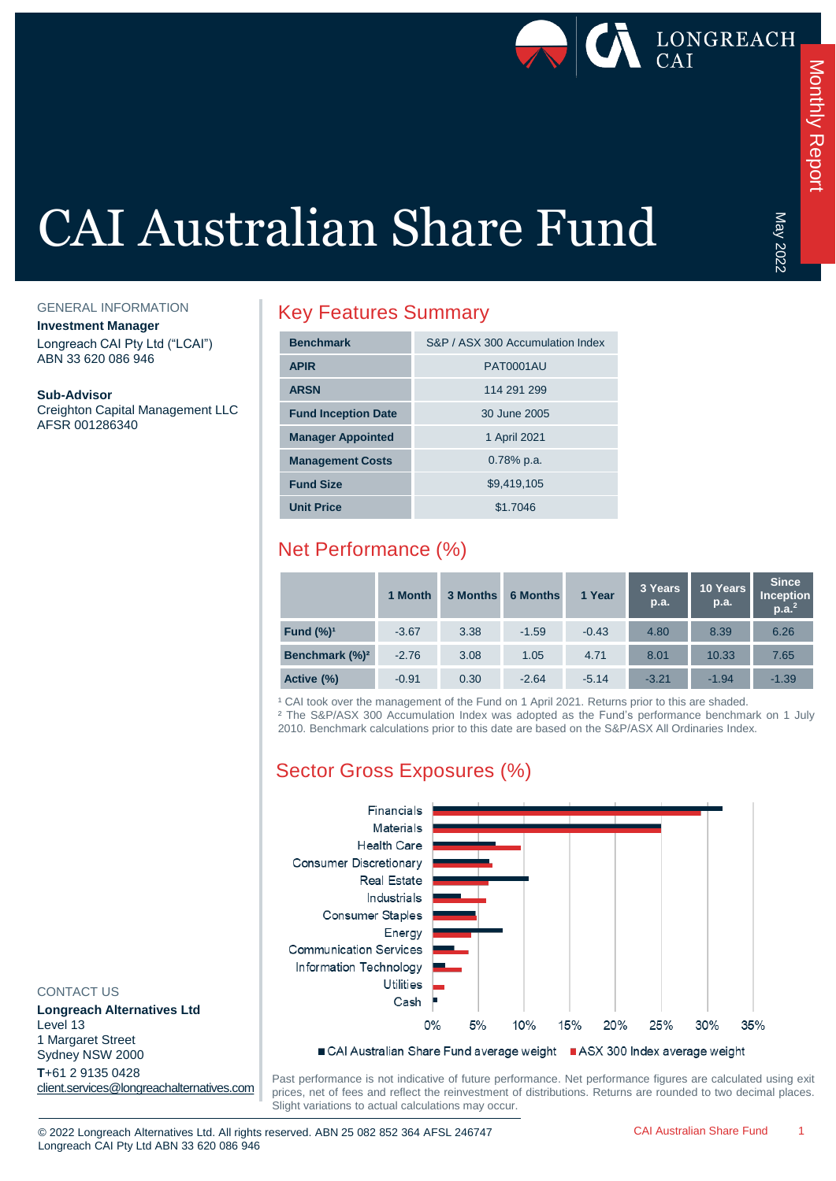

May 2022

# CAI Australian Share Fund

GENERAL INFORMATION

**Investment Manager**

Longreach CAI Pty Ltd ("LCAI") ABN 33 620 086 946

**Sub-Advisor**

Creighton Capital Management LLC AFSR 001286340

### Key Features Summary

| <b>Benchmark</b>           | S&P / ASX 300 Accumulation Index |
|----------------------------|----------------------------------|
| <b>APIR</b>                | <b>PAT0001AU</b>                 |
| <b>ARSN</b>                | 114 291 299                      |
| <b>Fund Inception Date</b> | 30 June 2005                     |
| <b>Manager Appointed</b>   | 1 April 2021                     |
| <b>Management Costs</b>    | $0.78\%$ p.a.                    |
| <b>Fund Size</b>           | \$9,419,105                      |
| <b>Unit Price</b>          | \$1.7046                         |

# Net Performance (%)

|                            | 1 Month | 3 Months | <b>6 Months</b> | 1 Year  | 3 Years<br>p.a. | 10 Years<br>p.a. | <b>Since</b><br><b>Inception</b><br>p.a. <sup>2</sup> |
|----------------------------|---------|----------|-----------------|---------|-----------------|------------------|-------------------------------------------------------|
| Fund $(\%)^1$              | $-3.67$ | 3.38     | $-1.59$         | $-0.43$ | 4.80            | 8.39             | 6.26                                                  |
| Benchmark (%) <sup>2</sup> | $-2.76$ | 3.08     | 1.05            | 4.71    | 8.01            | 10.33            | 7.65                                                  |
| Active (%)                 | $-0.91$ | 0.30     | $-2.64$         | $-5.14$ | $-3.21$         | $-1.94$          | $-1.39$                                               |

<sup>1</sup> CAI took over the management of the Fund on 1 April 2021. Returns prior to this are shaded.

² The S&P/ASX 300 Accumulation Index was adopted as the Fund's performance benchmark on 1 July 2010. Benchmark calculations prior to this date are based on the S&P/ASX All Ordinaries Index.

# Sector Gross Exposures (%)



#### CONTACT US

**Longreach Alternatives Ltd** Level 13 1 Margaret Street Sydney NSW 2000 **T**+61 2 9135 0428 [client.services@longreachalternatives.com](mailto:client.services@longreachalternatives.com)

Past performance is not indicative of future performance. Net performance figures are calculated using exit prices, net of fees and reflect the reinvestment of distributions. Returns are rounded to two decimal places. Slight variations to actual calculations may occur.